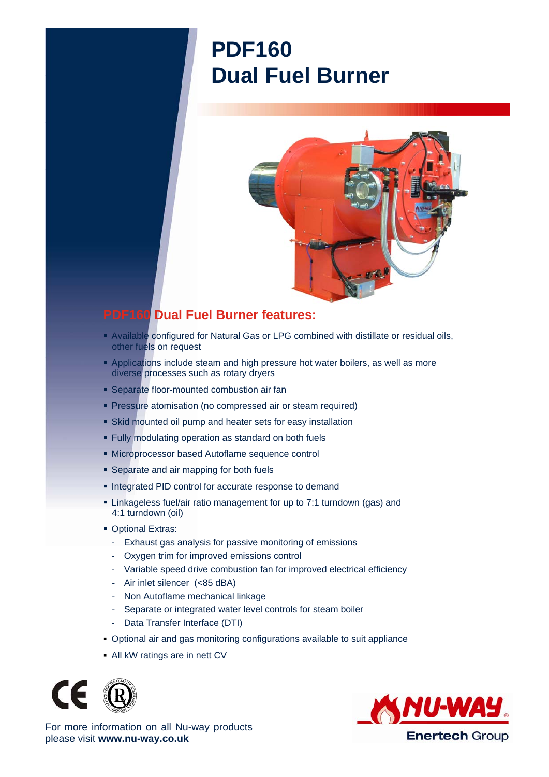## **PDF160 Dual Fuel Burner**



## **PDF160 Dual Fuel Burner features:**

- Available configured for Natural Gas or LPG combined with distillate or residual oils, other fuels on request
- **Applications include steam and high pressure hot water boilers, as well as more** diverse processes such as rotary dryers
- **Separate floor-mounted combustion air fan**
- **Pressure atomisation (no compressed air or steam required)**
- Skid mounted oil pump and heater sets for easy installation
- Fully modulating operation as standard on both fuels
- Microprocessor based Autoflame sequence control
- **Separate and air mapping for both fuels**
- **Integrated PID control for accurate response to demand**
- Linkageless fuel/air ratio management for up to 7:1 turndown (gas) and 4:1 turndown (oil)
- **Optional Extras:** 
	- Exhaust gas analysis for passive monitoring of emissions
	- Oxygen trim for improved emissions control
	- Variable speed drive combustion fan for improved electrical efficiency
	- Air inlet silencer (<85 dBA)
	- Non Autoflame mechanical linkage
	- Separate or integrated water level controls for steam boiler
	- Data Transfer Interface (DTI)
- Optional air and gas monitoring configurations available to suit appliance
- All kW ratings are in nett CV





For more information on all Nu-way products please visit **www.nu-way.co.uk**